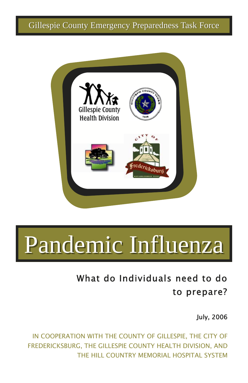

# Pandemic Influenza

### What do Individuals need to do to prepare?

July, 2006

IN COOPERATION WITH THE COUNTY OF GILLESPIE, THE CITY OF FREDERICKSBURG, THE GILLESPIE COUNTY HEALTH DIVISION, AND THE HILL COUNTRY MEMORIAL HOSPITAL SYSTEM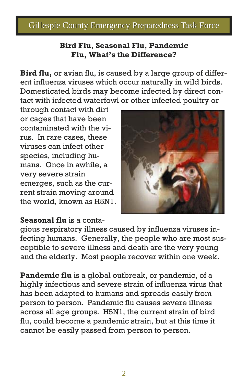#### **Bird Flu, Seasonal Flu, Pandemic Flu, What's the Difference?**

**Bird flu,** or avian flu, is caused by a large group of different influenza viruses which occur naturally in wild birds. Domesticated birds may become infected by direct contact with infected waterfowl or other infected poultry or

through contact with dirt or cages that have been contaminated with the virus. In rare cases, these viruses can infect other species, including humans. Once in awhile, a very severe strain emerges, such as the current strain moving around the world, known as H5N1.



#### **Seasonal flu** is a conta-

gious respiratory illness caused by influenza viruses infecting humans. Generally, the people who are most susceptible to severe illness and death are the very young and the elderly. Most people recover within one week.

**Pandemic flu** is a global outbreak, or pandemic, of a highly infectious and severe strain of influenza virus that has been adapted to humans and spreads easily from person to person. Pandemic flu causes severe illness across all age groups. H5N1, the current strain of bird flu, could become a pandemic strain, but at this time it cannot be easily passed from person to person.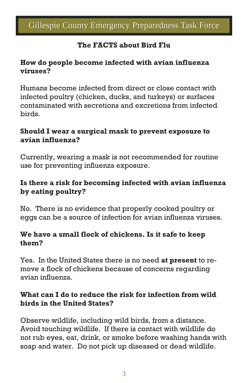### **The FACTS about Bird Flu**

### **How do people become infected with avian influenza viruses?**

Humans become infected from direct or close contact with infected poultry (chicken, ducks, and turkeys) or surfaces contaminated with secretions and excretions from infected birds.

#### **Should I wear a surgical mask to prevent exposure to avian influenza?**

Currently, wearing a mask is not recommended for routine use for preventing influenza exposure.

### **Is there a risk for becoming infected with avian influenza by eating poultry?**

No. There is no evidence that properly cooked poultry or eggs can be a source of infection for avian influenza viruses.

#### **We have a small flock of chickens. Is it safe to keep them?**

Yes. In the United States there is no need **at present** to remove a flock of chickens because of concerns regarding avian influenza.

#### **What can I do to reduce the risk for infection from wild birds in the United States?**

Observe wildlife, including wild birds, from a distance. Avoid touching wildlife. If there is contact with wildlife do not rub eyes, eat, drink, or smoke before washing hands with soap and water. Do not pick up diseased or dead wildlife.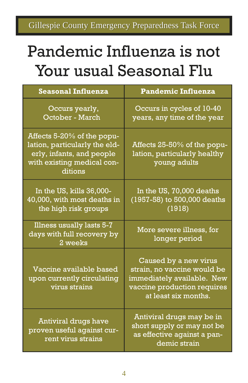## Pandemic Influenza is not Your usual Seasonal Flu

| <b>Seasonal Influenza</b>                                                                                                         | <b>Pandemic Influenza</b>                                                                                                                 |
|-----------------------------------------------------------------------------------------------------------------------------------|-------------------------------------------------------------------------------------------------------------------------------------------|
| Occurs yearly,<br>October - March                                                                                                 | Occurs in cycles of 10-40<br>years, any time of the year                                                                                  |
| Affects 5-20% of the popu-<br>lation, particularly the eld-<br>erly, infants, and people<br>with existing medical con-<br>ditions | Affects 25-50% of the popu-<br>lation, particularly healthy<br>young adults                                                               |
| In the US, kills 36,000-<br>40,000, with most deaths in<br>the high risk groups                                                   | In the US, 70,000 deaths<br>(1957-58) to 500,000 deaths<br>(1918)                                                                         |
| Illness usually lasts 5-7<br>days with full recovery by<br>2 weeks                                                                | More severe illness, for<br>longer period                                                                                                 |
| Vaccine available based<br>upon currently circulating<br>virus strains                                                            | Caused by a new virus<br>strain, no vaccine would be<br>immediately available. New<br>vaccine production requires<br>at least six months. |
| Antiviral drugs have<br>proven useful against cur-<br>rent virus strains                                                          | Antiviral drugs may be in<br>short supply or may not be<br>as effective against a pan-<br>demic strain                                    |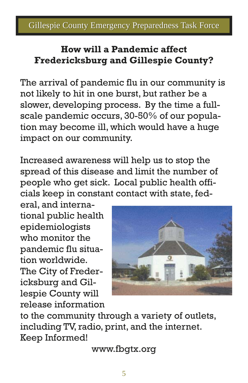### **How will a Pandemic affect Fredericksburg and Gillespie County?**

The arrival of pandemic flu in our community is not likely to hit in one burst, but rather be a slower, developing process. By the time a fullscale pandemic occurs, 30-50% of our population may become ill, which would have a huge impact on our community.

Increased awareness will help us to stop the spread of this disease and limit the number of people who get sick. Local public health officials keep in constant contact with state, fed-

eral, and international public health epidemiologists who monitor the pandemic flu situation worldwide. The City of Fredericksburg and Gillespie County will release information



to the community through a variety of outlets, including TV, radio, print, and the internet. Keep Informed!

www.fbgtx.org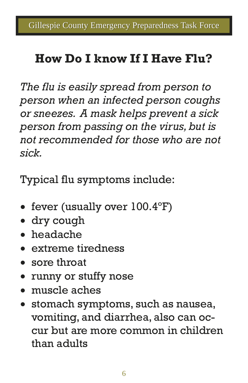### **How Do I know If I Have Flu?**

*The flu is easily spread from person to person when an infected person coughs or sneezes. A mask helps prevent a sick person from passing on the virus, but is not recommended for those who are not sick.* 

Typical flu symptoms include:

- fever (usually over  $100.4^{\circ}$ F)
- dry cough
- headache
- extreme tiredness
- sore throat
- runny or stuffy nose
- muscle aches
- stomach symptoms, such as nausea, vomiting, and diarrhea, also can occur but are more common in children than adults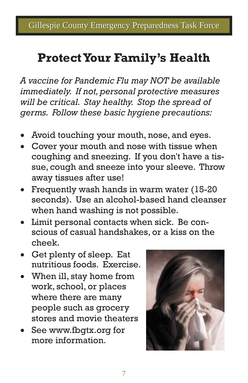### **Protect Your Family's Health**

*A vaccine for Pandemic Flu may NOT be available immediately. If not, personal protective measures will be critical. Stay healthy. Stop the spread of germs. Follow these basic hygiene precautions:* 

- Avoid touching your mouth, nose, and eyes.
- Cover your mouth and nose with tissue when coughing and sneezing. If you don't have a tissue, cough and sneeze into your sleeve. Throw away tissues after use!
- Frequently wash hands in warm water (15-20) seconds). Use an alcohol-based hand cleanser when hand washing is not possible.
- Limit personal contacts when sick. Be conscious of casual handshakes, or a kiss on the cheek.
- Get plenty of sleep. Eat nutritious foods. Exercise.
- When ill, stay home from work, school, or places where there are many people such as grocery stores and movie theaters
- See www.fbgtx.org for more information.

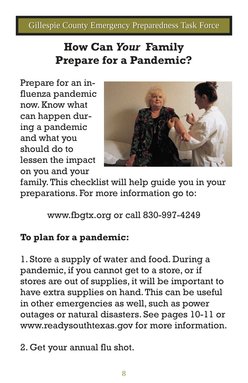### **How Can** *Your* **Family Prepare for a Pandemic?**

Prepare for an influenza pandemic now. Know what can happen during a pandemic and what you should do to lessen the impact on you and your



family. This checklist will help guide you in your preparations. For more information go to:

www.fbgtx.org or call 830-997-4249

### **To plan for a pandemic:**

1. Store a supply of water and food. During a pandemic, if you cannot get to a store, or if stores are out of supplies, it will be important to have extra supplies on hand. This can be useful in other emergencies as well, such as power outages or natural disasters. See pages 10-11 or www.readysouthtexas.gov for more information.

2. Get your annual flu shot.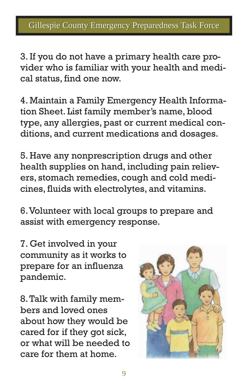3. If you do not have a primary health care provider who is familiar with your health and medical status, find one now.

4. Maintain a Family Emergency Health Information Sheet. List family member's name, blood type, any allergies, past or current medical conditions, and current medications and dosages.

5. Have any nonprescription drugs and other health supplies on hand, including pain relievers, stomach remedies, cough and cold medicines, fluids with electrolytes, and vitamins.

6. Volunteer with local groups to prepare and assist with emergency response.

7. Get involved in your community as it works to prepare for an influenza pandemic.

8. Talk with family members and loved ones about how they would be cared for if they got sick, or what will be needed to care for them at home.

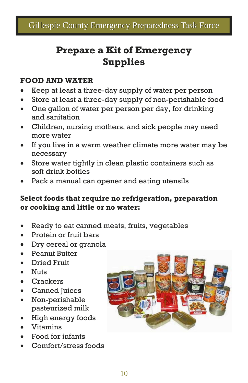### **Prepare a Kit of Emergency Supplies**

### **FOOD AND WATER**

- Keep at least a three-day supply of water per person
- Store at least a three-day supply of non-perishable food
- One gallon of water per person per day, for drinking and sanitation
- Children, nursing mothers, and sick people may need more water
- If you live in a warm weather climate more water may be necessary
- Store water tightly in clean plastic containers such as soft drink bottles
- Pack a manual can opener and eating utensils

### **Select foods that require no refrigeration, preparation or cooking and little or no water:**

- Ready to eat canned meats, fruits, vegetables
- Protein or fruit bars
- Dry cereal or granola
- Peanut Butter
- Dried Fruit
- Nuts
- Crackers
- Canned Juices
- Non-perishable pasteurized milk
- High energy foods
- Vitamins
- Food for infants
- Comfort/stress foods

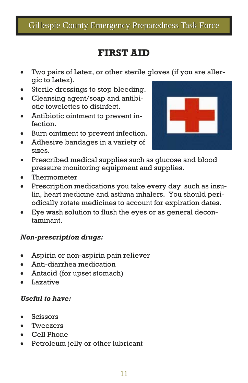### **FIRST AID**

- Two pairs of Latex, or other sterile gloves (if you are allergic to Latex).
- Sterile dressings to stop bleeding.
- Cleansing agent/soap and antibiotic towelettes to disinfect.
- Antibiotic ointment to prevent infection.
- Burn ointment to prevent infection.
- Adhesive bandages in a variety of sizes.



- Prescribed medical supplies such as glucose and blood pressure monitoring equipment and supplies.
- Thermometer
- Prescription medications you take every day such as insulin, heart medicine and asthma inhalers. You should periodically rotate medicines to account for expiration dates.
- Eye wash solution to flush the eyes or as general decontaminant.

#### *Non-prescription drugs:*

- Aspirin or non-aspirin pain reliever
- Anti-diarrhea medication
- Antacid (for upset stomach)
- Laxative

#### *Useful to have:*

- Scissors
- Tweezers
- Cell Phone
- Petroleum jelly or other lubricant